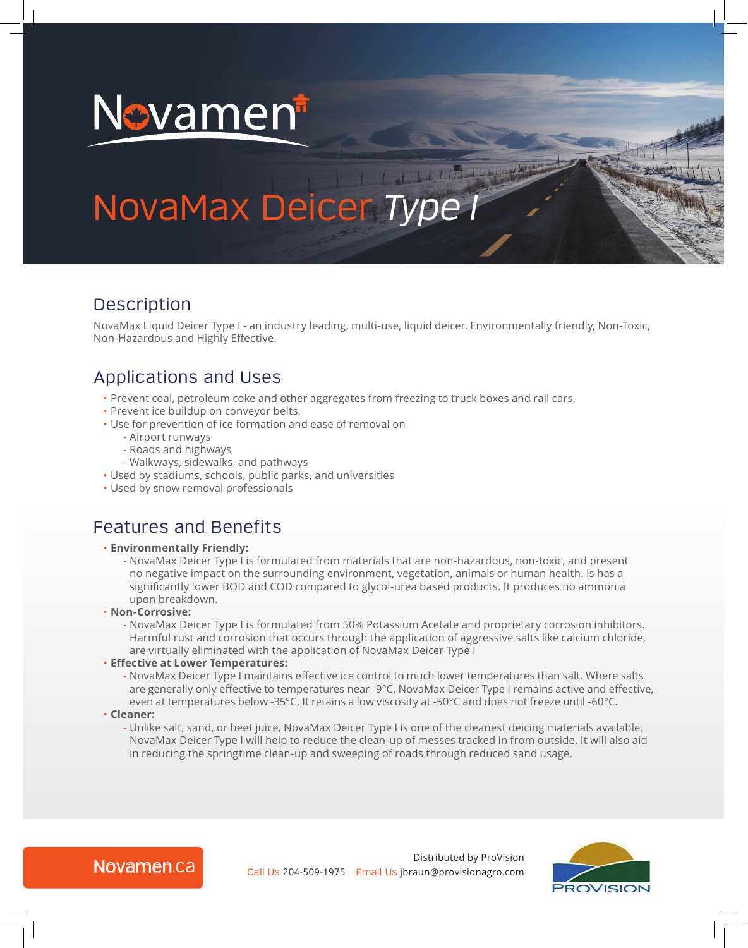

# NovaMax Deicer *Type I*

## Description

NovaMax Liquid Deicer Type I - an industry leading, multi-use, liquid deicer. Environmentally friendly, Non-Toxic, Non-Hazardous and Highly Effective.

## Applications and Uses

- Prevent coal, petroleum coke and other aggregates from freezing to truck boxes and rail cars,
- Prevent ice buildup on conveyor belts,
- Use for prevention of ice formation and ease of removal on
	- Airport runways
	- Roads and highways
	- Walkways, sidewalks, and pathways
- Used by stadiums, schools, public parks, and universities
- Used by snow removal professionals

## Features and Benefits

#### • **Environmentally Friendly:**

- NovaMax Deicer Type I is formulated from materials that are non-hazardous, non-toxic, and present no negative impact on the surrounding environment, vegetation, animals or human health. Is has a significantly lower BOD and COD compared to glycol-urea based products. It produces no ammonia upon breakdown.
- **Non-Corrosive:** 
	- NovaMax Deicer Type I is formulated from 50% Potassium Acetate and proprietary corrosion inhibitors. Harmful rust and corrosion that occurs through the application of aggressive salts like calcium chloride, are virtually eliminated with the application of NovaMax Deicer Type I
- **Effective at Lower Temperatures:** 
	- NovaMax Deicer Type I maintains effective ice control to much lower temperatures than salt. Where salts are generally only effective to temperatures near -9°C, NovaMax Deicer Type I remains active and effective, even at temperatures below -35°C. It retains a low viscosity at -50°C and does not freeze until -60°C.
- **Cleaner:** 
	- Unlike salt, sand, or beet juice, NovaMax Deicer Type I is one of the cleanest deicing materials available. NovaMax Deicer Type I will help to reduce the clean-up of messes tracked in from outside. It will also aid in reducing the springtime clean-up and sweeping of roads through reduced sand usage.